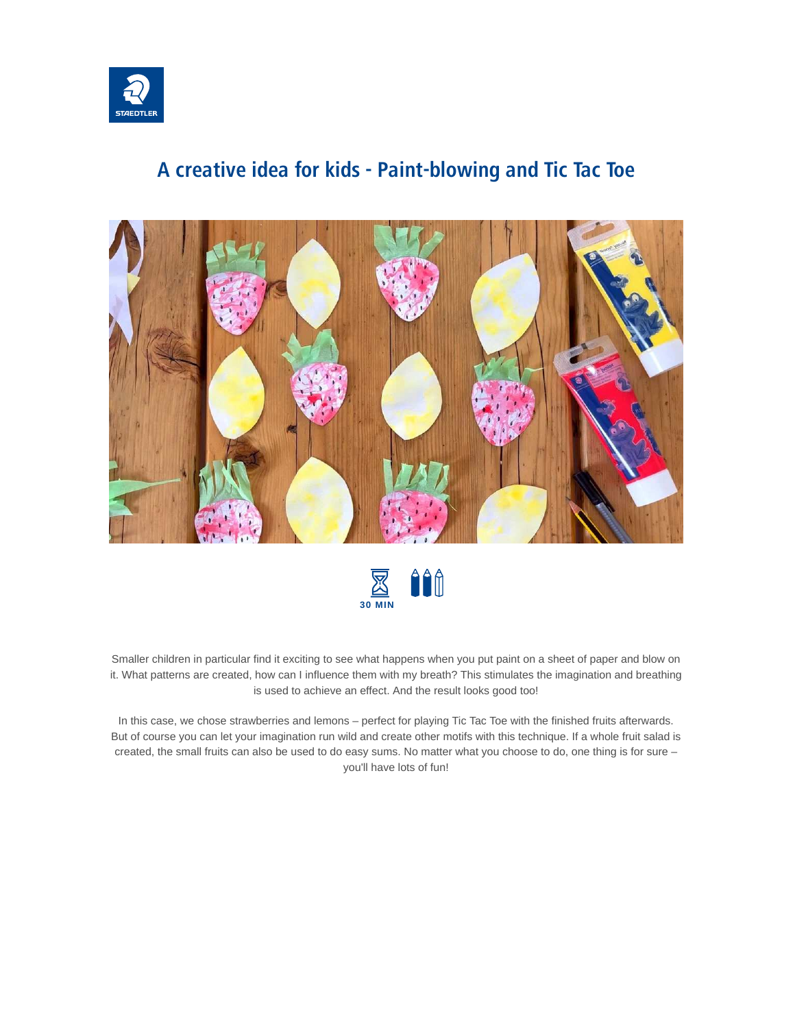

#### **A creative idea for kids - Paint-blowing and Tic Tac Toe**





Smaller children in particular find it exciting to see what happens when you put paint on a sheet of paper and blow on it. What patterns are created, how can I influence them with my breath? This stimulates the imagination and breathing is used to achieve an effect. And the result looks good too!

In this case, we chose strawberries and lemons – perfect for playing Tic Tac Toe with the finished fruits afterwards. But of course you can let your imagination run wild and create other motifs with this technique. If a whole fruit salad is created, the small fruits can also be used to do easy sums. No matter what you choose to do, one thing is for sure – you'll have lots of fun!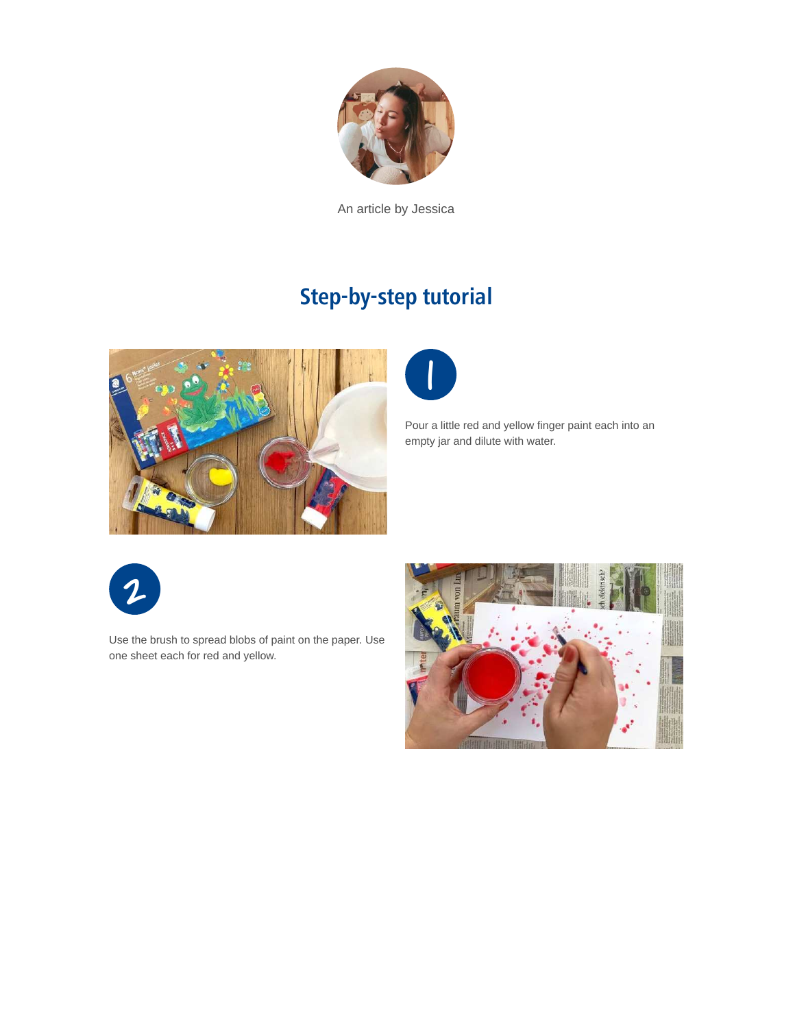

An article by Jessica

# **Step-by-step tutorial**





Pour a little red and yellow finger paint each into an empty jar and dilute with water.



Use the brush to spread blobs of paint on the paper. Use one sheet each for red and yellow.

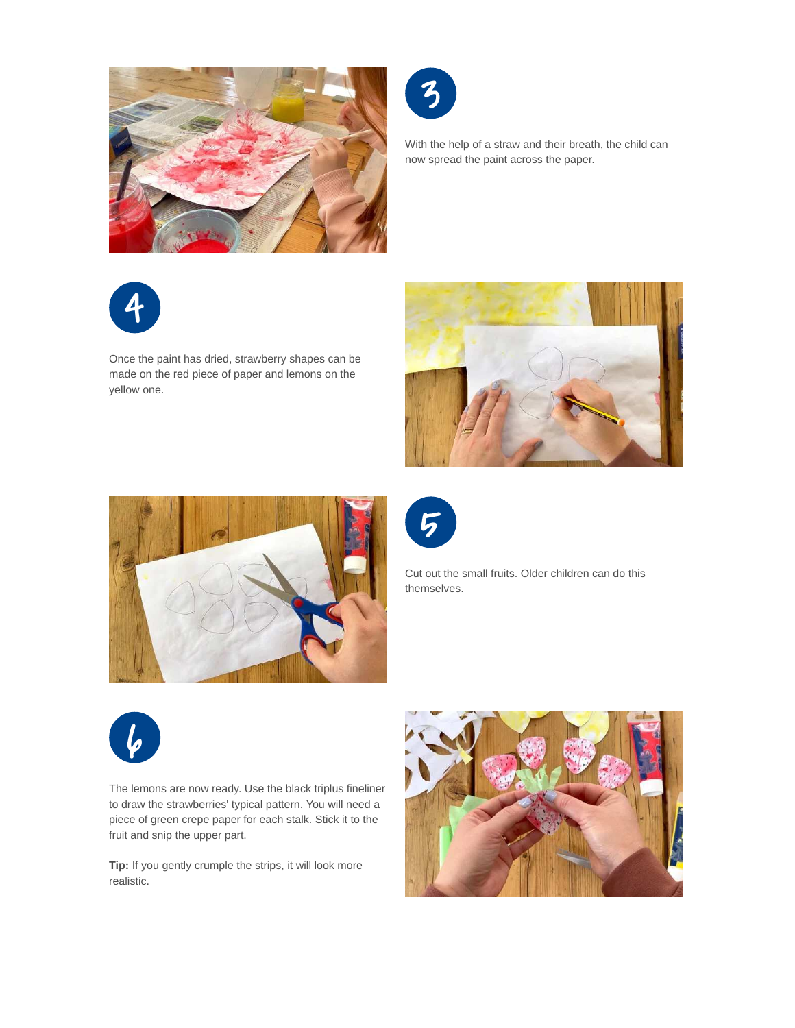



With the help of a straw and their breath, the child can now spread the paint across the paper.



Once the paint has dried, strawberry shapes can be made on the red piece of paper and lemons on the yellow one.







Cut out the small fruits. Older children can do this themselves.



The lemons are now ready. Use the black triplus fineliner to draw the strawberries' typical pattern. You will need a piece of green crepe paper for each stalk. Stick it to the fruit and snip the upper part.

**Tip:** If you gently crumple the strips, it will look more realistic.

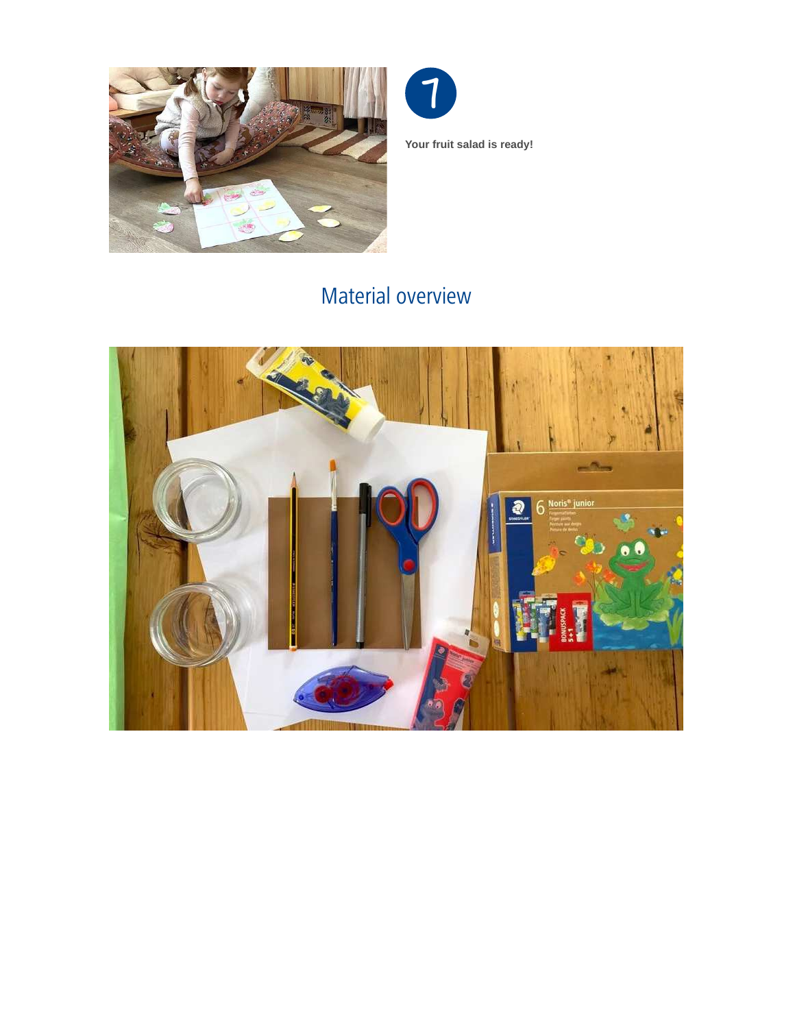



### Material overview